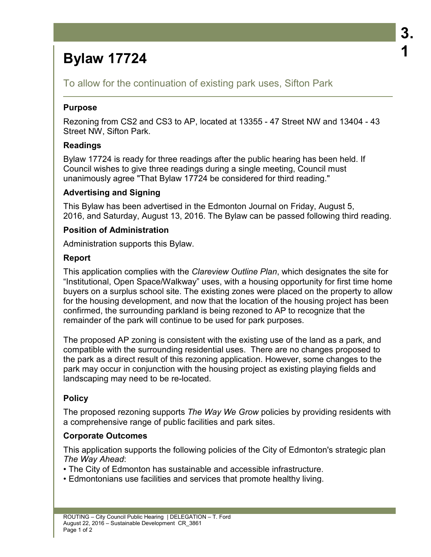# **Bylaw 17724**

To allow for the continuation of existing park uses, Sifton Park

## **Purpose**

Rezoning from CS2 and CS3 to AP, located at 13355 - 47 Street NW and 13404 - 43 Street NW, Sifton Park.

## **Readings**

Bylaw 17724 is ready for three readings after the public hearing has been held. If Council wishes to give three readings during a single meeting, Council must unanimously agree "That Bylaw 17724 be considered for third reading."

## **Advertising and Signing**

This Bylaw has been advertised in the Edmonton Journal on Friday, August 5, 2016, and Saturday, August 13, 2016. The Bylaw can be passed following third reading.

## **Position of Administration**

Administration supports this Bylaw.

## **Report**

This application complies with the *Clareview Outline Plan*, which designates the site for "Institutional, Open Space/Walkway" uses, with a housing opportunity for first time home buyers on a surplus school site. The existing zones were placed on the property to allow for the housing development, and now that the location of the housing project has been confirmed, the surrounding parkland is being rezoned to AP to recognize that the remainder of the park will continue to be used for park purposes.

The proposed AP zoning is consistent with the existing use of the land as a park, and compatible with the surrounding residential uses. There are no changes proposed to the park as a direct result of this rezoning application. However, some changes to the park may occur in conjunction with the housing project as existing playing fields and landscaping may need to be re-located.

## **Policy**

The proposed rezoning supports *The Way We Grow* policies by providing residents with a comprehensive range of public facilities and park sites.

## **Corporate Outcomes**

This application supports the following policies of the City of Edmonton's strategic plan *The Way Ahead*:

• The City of Edmonton has sustainable and accessible infrastructure.

• Edmontonians use facilities and services that promote healthy living.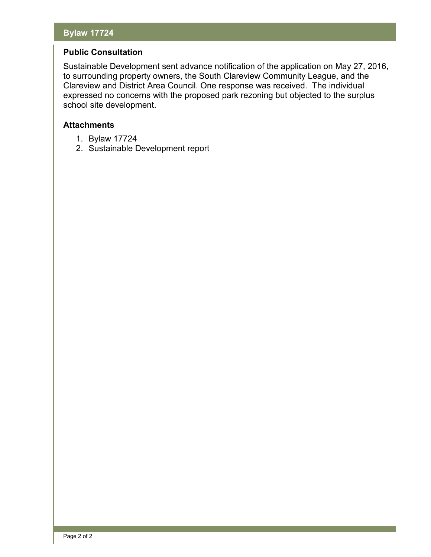## **Bylaw 17724**

#### **Public Consultation**

Sustainable Development sent advance notification of the application on May 27, 2016, to surrounding property owners, the South Clareview Community League, and the Clareview and District Area Council. One response was received. The individual expressed no concerns with the proposed park rezoning but objected to the surplus school site development.

#### **Attachments**

- 1. Bylaw 17724
- 2. Sustainable Development report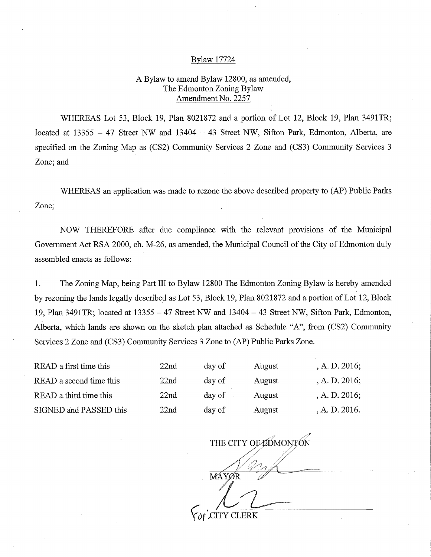#### Bylaw 17724

#### A Bylaw to amend Bylaw 12800, as amended, The Edmonton Zoning Bylaw Amendment No. 2257

WHEREAS Lot 53, Block 19, Plan 8021872 and a portion of Lot 12, Block 19, Plan 3491TR; located at 13355 — 47 Street NW and 13404 — 43 Street NW, Sifton Park, Edmonton, Alberta, are specified on the Zoning Map as (CS2) Community Services 2 Zone and (CS3) Community Services 3 Zone; and

WHEREAS an application was made to rezone the above described property to (AP) Public Parks Zone;

NOW THEREFORE after due compliance with the relevant provisions of the Municipal Government Act RSA 2000, ch. M-26, as amended, the Municipal Council of the City of Edmonton duly assembled enacts as follows:

1. The Zoning Map, being Part III to Bylaw 12800 The Edmonton Zoning Bylaw is hereby amended by rezoning the lands legally described as Lot 53, Block 19, Plan 8021872 and a portion of Lot 12, Block 19, Plan 3491TR; located at 13355 — 47 Street NW and 13404 — 43 Street NW, Sifton Park, Edmonton, Alberta, which lands are shown on the sketch plan attached as Schedule "A", from (CS2) Community Services 2 Zone and (CS3) Community Services 3 Zone to (AP) Public Parks Zone.

| READ a first time this  | 22nd | day of | August | A. D. 2016; |
|-------------------------|------|--------|--------|-------------|
| READ a second time this | 22nd | day of | August | A. D. 2016; |
| READ a third time this  | 22nd | day of | August | A. D. 2016; |
| SIGNED and PASSED this  | 22nd | day of | August | A. D. 2016. |

7-7 THE CITY OF EDMONTON MÁYØR  $\delta$ r 'CITY CLERK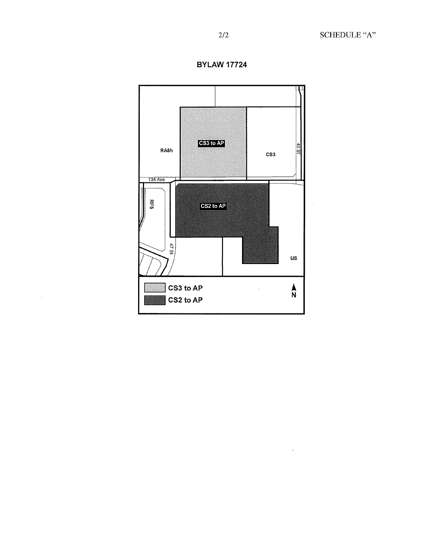

 $\bar{.}$ 

**BYLAW 17724**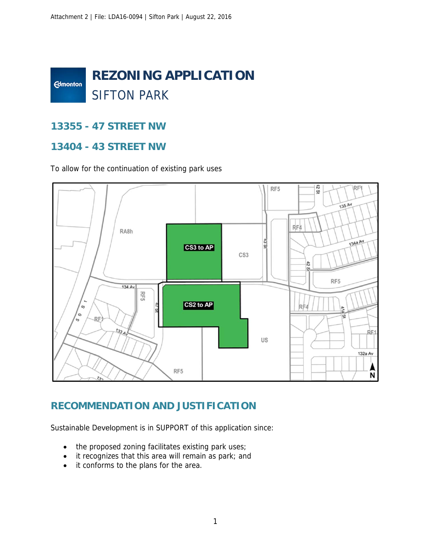

## **13355 - 47 STREET NW**

## **13404 - 43 STREET NW**

To allow for the continuation of existing park uses



## **RECOMMENDATION AND JUSTIFICATION**

Sustainable Development is in SUPPORT of this application since:

- the proposed zoning facilitates existing park uses;
- it recognizes that this area will remain as park; and
- it conforms to the plans for the area.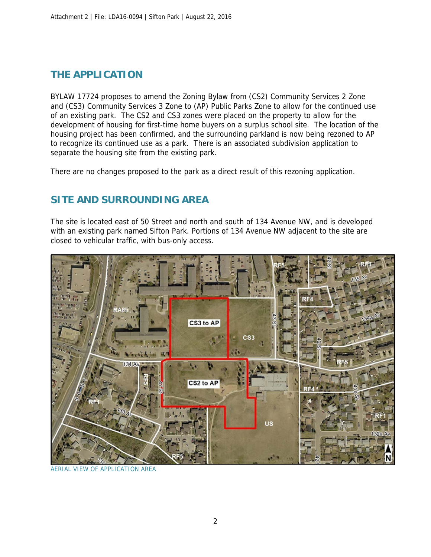# **THE APPLICATION**

BYLAW 17724 proposes to amend the Zoning Bylaw from (CS2) Community Services 2 Zone and (CS3) Community Services 3 Zone to (AP) Public Parks Zone to allow for the continued use of an existing park. The CS2 and CS3 zones were placed on the property to allow for the development of housing for first-time home buyers on a surplus school site. The location of the housing project has been confirmed, and the surrounding parkland is now being rezoned to AP to recognize its continued use as a park. There is an associated subdivision application to separate the housing site from the existing park.

There are no changes proposed to the park as a direct result of this rezoning application.

# **SITE AND SURROUNDING AREA**

The site is located east of 50 Street and north and south of 134 Avenue NW, and is developed with an existing park named Sifton Park. Portions of 134 Avenue NW adjacent to the site are closed to vehicular traffic, with bus-only access.



**VIEW OF APPLICATION AREA**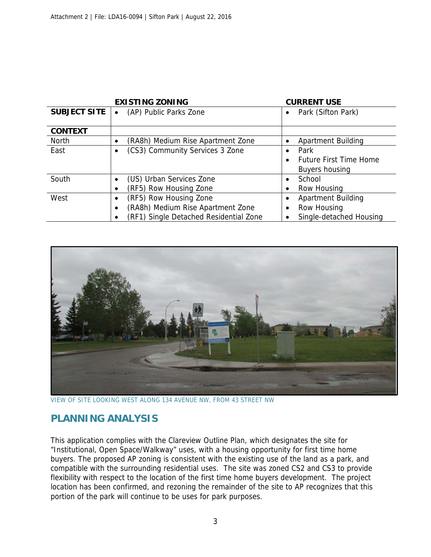|                     | <b>EXISTING ZONING</b>                 | <b>CURRENT USE</b>                         |
|---------------------|----------------------------------------|--------------------------------------------|
| <b>SUBJECT SITE</b> | (AP) Public Parks Zone                 | Park (Sifton Park)<br>$\bullet$            |
|                     |                                        |                                            |
| <b>CONTEXT</b>      |                                        |                                            |
| <b>North</b>        | (RA8h) Medium Rise Apartment Zone      | <b>Apartment Building</b><br>$\bullet$     |
| East                | (CS3) Community Services 3 Zone        | Park<br>$\bullet$                          |
|                     |                                        | <b>Future First Time Home</b><br>$\bullet$ |
|                     |                                        | Buyers housing                             |
| South               | (US) Urban Services Zone               | School                                     |
|                     | (RF5) Row Housing Zone                 | Row Housing<br>٠                           |
| West                | (RF5) Row Housing Zone<br>$\bullet$    | <b>Apartment Building</b><br>$\bullet$     |
|                     | (RA8h) Medium Rise Apartment Zone      | Row Housing<br>٠                           |
|                     | (RF1) Single Detached Residential Zone | Single-detached Housing<br>٠               |



VIEW OF SITE LOOKING WEST ALONG 134 AVENUE NW, FROM 43 STREET NW

## **PLANNING ANALYSIS**

This application complies with the Clareview Outline Plan, which designates the site for "Institutional, Open Space/Walkway" uses, with a housing opportunity for first time home buyers. The proposed AP zoning is consistent with the existing use of the land as a park, and compatible with the surrounding residential uses. The site was zoned CS2 and CS3 to provide flexibility with respect to the location of the first time home buyers development. The project location has been confirmed, and rezoning the remainder of the site to AP recognizes that this portion of the park will continue to be uses for park purposes.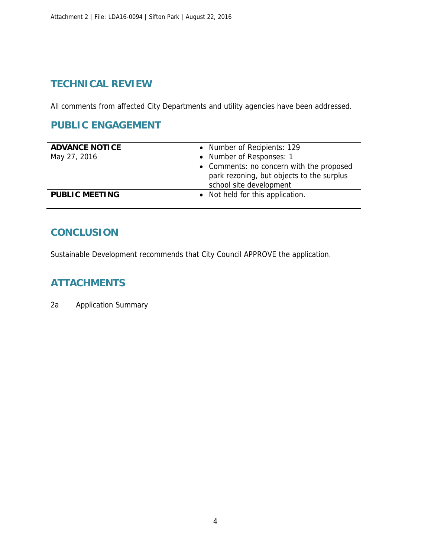## **TECHNICAL REVIEW**

All comments from affected City Departments and utility agencies have been addressed.

## **PUBLIC ENGAGEMENT**

| <b>ADVANCE NOTICE</b><br>May 27, 2016 | • Number of Recipients: 129<br>• Number of Responses: 1<br>• Comments: no concern with the proposed<br>park rezoning, but objects to the surplus<br>school site development |
|---------------------------------------|-----------------------------------------------------------------------------------------------------------------------------------------------------------------------------|
| <b>PUBLIC MEETING</b>                 | Not held for this application.                                                                                                                                              |

## **CONCLUSION**

Sustainable Development recommends that City Council APPROVE the application.

# **ATTACHMENTS**

2a Application Summary